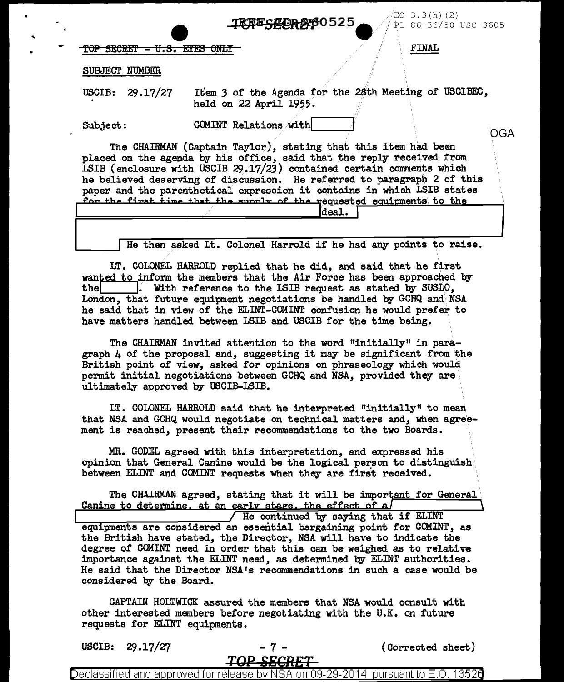*/EO* 3 . 3 ( h) ( 2 )  $S$ # $P$  $R$   $S$  0525  $\bullet$  /  $\frac{1}{P}$  86-36/50 USC 3605

OGA

 $\overline{r}$  of secret - u.s. etes only finally finally finally finally finally finally finally finally finally finally finally finally finally finally finally finally finally finally finally finally finally finally finally f

SUBJECT NUMBER

USCIB: 29.17/27

Item 3 of the Agenda for the 28th Meeting of USCIBEC, held on 22 April 1955.

Subject:

' ..

COMINT Relations with

The CHAIRMAN (Captain Taylor}, stating that this item had been placed on the agenda by his office, said that the reply received from ISIB (enclosure with USCIB  $29.17/23$ ) contained certain comments which he believed deserving of discussion. He referred to paragraph 2 of this paper and the parenthetical expression it contains in which LSIB states for the first time that the sunnly of the requested equipments to the  $\frac{1}{10}$  • deal.

He then asked Lt. Colonel Harrold if he had any points to raise.

LT. COLONEL HARROLD replied that he did, and said that he first wanted to inform the members that the Air Force has been approached by the  $\vert$ . With reference to the LSIB request as stated by SUSLO, London, that future equipment negotiations be handled by GCHQ and\NSA he said that in view of the ELINT-COMINT confusion he would prefer to have matters handled between ISIB and USCIB for the time being.

The CHAIRMAN invited attention to the word "initially" in paragraph 4 of the proposal and, suggesting it may be significant from the British point of view, asked for opinions on phraseology which would permit initial negotiations between GCHQ and NSA, provided they are ultimately approved by USCIB-LSIB.

LT. COLONEL HARROLD said that he interpreted "initially" to mean that NSA and GCHQ would negotiate on technical matters and, when agreement is reached, present their recommendations to the two Boards.

MR. GODEL agreed with this interpretation, and expressed his opinion that General Canine would be the logical person to distinguish between EI.INT and COMINT requests when they are first received.

The CHAIRMAN agreed, stating that it will be important for General Canine to determine, at an early stage, the effect of a

He continued by saying that if ELINT equipments are considered an essential bargaining point for CCMINT, as the British have stated, the Director, NSA will have to indicate the degree of CCMINT need in order that this can be weighed as to relative importance against the ELINT need, as determined by ELINT authorities. He said that the Director NSA 1s recommendations in such a case would be considered by the Board.

CAPTAIN HOLTWICK assured the members that NSA would consult with other interested members before negotiating with the U.K. on future requests for ELINT equipments.

| <b>USCIB:</b> |  | 29.17/27 |  |
|---------------|--|----------|--|
|---------------|--|----------|--|

- 7 - (Corrected sheet)

Declassified and approved for release by NSA on 09-29-2014 pursuant to E.O. 13526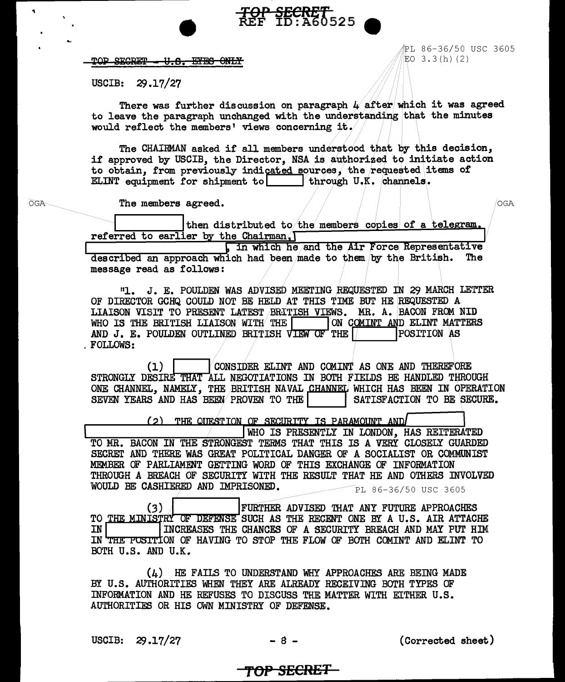#### TOP SECRET U.S. EYES ONLY

**?L 86-36/50 USC 3605**  $EO$  3.3(h)(2)

USCIB: 29.17/27

There was further discussion on paragraph  $\mu$  after which it was agreed to leave the paragraph unchanged with the understanding that the minutes would reflect the members' views concerning it.

TOP SECRET<br>REF ID:A60525

The CHAIRMAN asked if all members understood that by this decision. if approved by USCIB, the Director, NSA is authorized to initiate action to obtain, from previously indicated sources, the requested items of ELINT equipment for shipment to through U.K. channels.

 $OGA$ 

The members agreed.

OGA

then distributed to the members copies of a telegram. referred to earlier by the Chairman.

I in which he and the Air Force Representative described an approach which had been made to them by the British. The message read as follows:

"1. J. E. POULDEN WAS ADVISED MEETING REQUESTED IN 29 MARCH LETTER OF DIRECTOR GCHQ COULD NOT BE HELD AT THIS TIME BUT HE REQUESTED A LIAISON VISIT TO PRESENT LATEST BRITISH VIEWS. MR. A. BACON FROM NID WHO IS THE BRITISH LIAISON WITH THE ON COMINT AND ELINT MATTERS AND J. E. POULDEN OUTLINED BRITISH VIEW OF THE POSITION AS . FOLLOWS:

 $(1)$ CONSIDER ELINT AND COMINT AS ONE AND THEREFORE STRONGLY DESIRE THAT ALL NEGOTIATIONS IN BOTH FIELDS BE HANDLED THROUGH ONE CHANNEL, NAMELY, THE BRITISH NAVAL CHANNEL WHICH HAS BEEN IN OPERATION SATISFACTION TO BE SECURE. SEVEN YEARS AND HAS BEEN PROVEN TO THE

(2) THE QUESTION OF SECURITY IS PARAMOUNT AND

WHO IS PRESENTLY IN LONDON, HAS REITERATED TO MR. BACON IN THE STRONGEST TERMS THAT THIS IS A VERY CLOSELY GUARDED SECRET AND THERE WAS GREAT POLITICAL DANGER OF A SOCIALIST OR COMMUNIST MEMBER OF PARLIAMENT GETTING WORD OF THIS EXCHANGE OF INFORMATION THROUGH A BREACH OF SECURITY WITH THE RESULT THAT HE AND OTHERS INVOLVED WOULD BE CASHIERED AND IMPRISONED. PL 86-36/50 USC 3605

FURTHER ADVISED THAT ANY FUTURE APPROACHES  $(3)$ TO THE MINISTRY OF DEFENSE SUCH AS THE RECENT ONE BY A U.S. AIR ATTACHE INCREASES THE CHANCES OF A SECURITY BREACH AND MAY PUT HIM IN IN THE POSITION OF HAVING TO STOP THE FLOW OF BOTH COMINT AND ELINT TO BOTH U.S. AND U.K.

 $(L)$  HE FAILS TO UNDERSTAND WHY APPROACHES ARE BEING MADE BY U.S. AUTHORITIES WHEN THEY ARE ALREADY RECEIVING BOTH TYPES OF INFORMATION AND HE REFUSES TO DISCUSS THE MATTER WITH EITHER U.S. AUTHORITIES OR HIS OWN MINISTRY OF DEFENSE.

USCIB: 29.17/27

(Corrected sheet)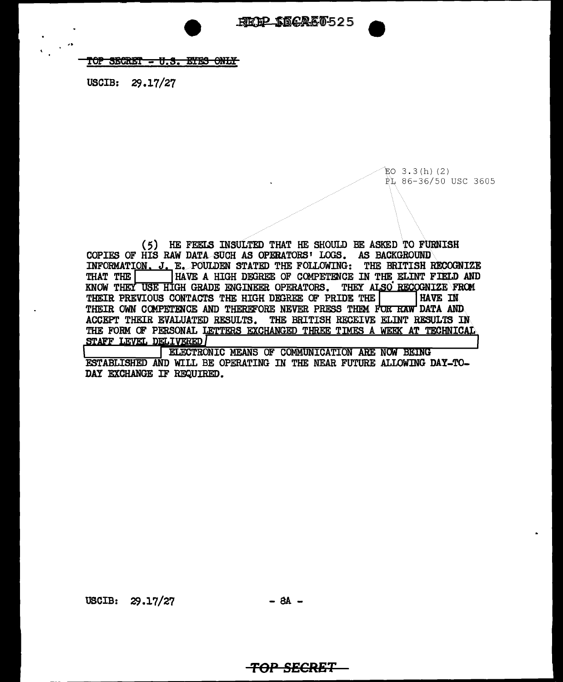#### TOP SECRET - U.S. EYES ONLY

USCIB: 29.17/27

 $EO$  3.3 $(h)$  (2) PL 86-36/50 USC 3605

( 5) HE FEELS INSULTED THAT HE SHOULD BE ASKED TO FURNISH COPIES OF HIS RAW DATA SUCH AS OPERATORS' LOGS. AS BACKGROUND INFORMATION,  $J$ ,  $E$ , POULDEN STATED THE FOLLOWING: THE BRITISH RECOGNIZE THAT THE  $\Box$  HAVE A HIGH DEGREE OF COMPETENCE IN THE ELINT FIELD AND HAVE A HIGH DEGREE OF COMPETENCE IN THE ELINT FIELD AND KNOW THEY USE HIGH GRADE ENGINEER OPERATORS. THEY ALSO RECOGNIZE FROM THEIR PREVIOUS CONTACTS THE HIGH DEGREE OF PRIDE THE  $\vert$  . HAVE IN THEIR OWN COMPETENCE AND THEREFORE NEVER PRESS THEM FOR RAW DATA AND ACCEPT THEIR EVALUATED RESULTS. THE BRITISH RECEIVE ELINT RESULTS IN THE FORM OF PERSONAL LETTERS EXCHANGED THREE TIMES A WEEK AT TECHNICAL STAFF LEVEL DELIVERED

ELECTRONIC MEANS OF COMMUNICATION ARE NOW BEING ESTABLISHED AND WILL BE OPERATING IN THE NEAR FUTURE ALLOWING DAY-TO-DAY EXCHANGE IF REQUIRED.

USCIB:  $29.17/27$  - 8A -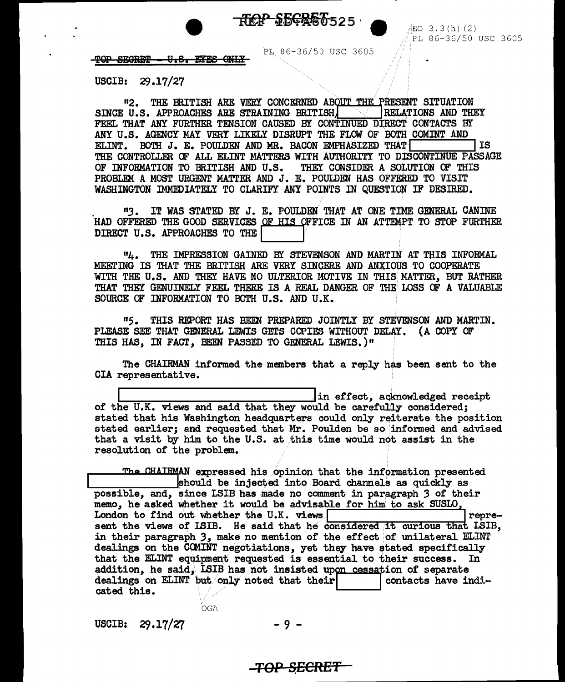

**EO 3.3(h)(2)** PL 86-36/50 USC 3605

TOP SECRET <del>U.S. EYES ONLY</del>

PL 86-36/50 USC 3605

USCIB: 29.17/27

"2. THE BRITISH ARE VERY CONCERNED ABOUT THE PRESENT SITUATION<br>U.S. APPROACHES ARE STRAINING BRITISHIVE RELATIONS AND THEY SINCE U.S. APPROACHES ARE STRAINING BRITISH, FEEL THAT ANY FURTHER TENSION CAUSED BY CONTINUED DIRECT CONTACTS BY ANY U.S. AGENCY MAY VERY LIKELY DISRUPT THE FLOW OF BOTH COMINT AND ELINT. BOTH J. E. POULDEN AND MR. BACON EMPHASIZED THAT  $\vert$  is THE CONTROLLER OF ALL ELINT MATTERS WITH AUTHORITY TO DISCONTINUE PASSAGE OF INFORMATION TO BRITISH AND U.S. THEY CONSIDER A SOLUTION OF THIS OF INFORMATION TO BRITISH AND U.S. PROBLEM A MOST URGENT MATTER AND **J. E. POULDEN** HAS OFFERED TO VISIT WASHINGTON IMMEDIATELY TO CLARIFY ANY POINTS IN QUESTION IF DESIRED.

"3. IT WAS STATED BY J. E. POULDEN THAT AT ONE TIME GENERAL CANINE HAD OFFERED THE GOOD SERVICES OF HIS OFFICE IN AN ATTEMPT TO STOP FURTHER DIRECT U.S. APPROACHES TO THE

114. THE IMPRESSION GAINED BY STEVENSON AND MARTIN AT THIS INFORMAL MEETING IS THAT THE BRITISH ARE VERY SINCERE AND ANXIOUS TO COOPERATE WITH THE U.S. AND THEY HAVE NO ULTERIOR MOTIVE IN THIS MATTER, BUT RATHER THAT THEY GENUINELY FEEL THERE IS A REAL DANGER OF THE LOSS OF A VALUABI.E SOURCE OF INFORMATION TO BOTH U.S. AND U.K.

<sup>11</sup> 5. THIS REPORT HAS BEEN PREPARED JOINTLY BY STEVENSON AND MARTIN. PLEASE SEE THAT GENERAL LEWIS GETS COPIES WITHOUT DELAY. (A COPY OF THIS HAS, IN FACT, BEEN PASSED TO GENERAL LEWIS.)"

The CHAIRMAN informed the members that a reply has been sent to the CIA representative.

in effect, acknowledged receipt of the U.K. views and said that they would be carefully considered; stated that his Washington headquarters could only reiterate the position stated earlier; and requested that Mr. Poulden be so informed and advised that a visit by him to the U.S. at this time would not assist in the resolution or the problem.

The CHAI~. expressed his /opinion that the info .• · mation presented .\_\_ \_\_\_\_\_ \_\_\_,lehould be injected into Board channels as quickly as possible, and, since LSIB has made no comment in paragraph 3 of their memo, he asked whether it would be advisable for him to ask SUSLO, London to find out whether the U.K. views I 1 represent the views of LSIB. He said that he considered it curious that LSIB, in their paragraph 3, make no mention of the effect of unilateral ELINT dealings on the COMINT negotiations, yet they have stated specifically that the ELINT equipment requested is essential to their success. In addition, he said, LSIB has not insisted upon cessation of separate dealings on ELINT but only noted that their  $\vert$  contacts have indidealings on ELINT but only noted that their cated this.

USCIB:  $29.17/27$  - 9 -

OGA

**TOP SECRE'f**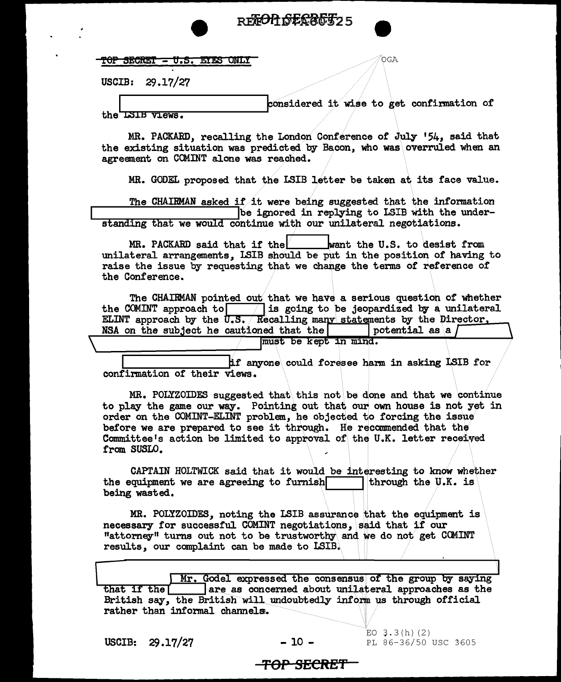

| $MM = M$                    |  |  |
|-----------------------------|--|--|
| TUP SECRET - U.S. EIES UNLI |  |  |

USCIB: 29.17/27

considered it wise to get confirmation of the ISIB views.

.<br>OGA

MR. PACKARD, recalling the London Conference of July '54, said that the existing situation was predicted by Bacon, who was overruled when an agreement on COMINT alone was reached.

MR. GODEL proposed that the LSIB letter be taken at its face value.

The CHAIRMAN asked if it were being suggested that the information be ignored in replying to LSIB with the understanding that we would continue with our unilateral negotiations.

MR. PACKARD said that if the want the U.S. to desist from unilateral arrangements. LSIB should be put in the position of having to raise the issue by requesting that we change the terms of reference of the Conference.

The CHAIRMAN pointed out that we have a serious question of whether the COMINT approach to  $\boxed{\phantom{a}}$  is going to be jeopardized by a unilateral ELINT approach by the  $\sqrt{0.5}$ . Recalling many statements by the Director. NSA on the subject he cautioned that the  $vertial$  as a  $l$ 

must be kept in mind.

if anyone could foresee harm in asking LSIB for confirmation of their views.

MR. POLYZOIDES suggested that this not be done and that we continue to play the game our way. Pointing out that our own house is not yet in order on the COMINT-ELINT problem, he objected to forcing the issue before we are prepared to see it through. He recommended that the Committee's action be limited to approval of the U.K. letter received from SUSLO.

CAPTAIN HOLTWICK said that it would be interesting to know whether the equipment we are agreeing to furnish through the U.K. is being wasted.

MR. POLYZOIDES, noting the LSIB assurance that the equipment is necessary for successful COMINT negotiations, said that if our "attorney" turns out not to be trustworthy and we do not get COMINT results, our complaint can be made to LSIB.

Mr. Godel expressed the consensus of the group by saying that if the T are as concerned about unilateral approaches as the British say, the British will undoubtedly inform us through official rather than informal channels.

USCIB:  $29.17/27$ 

 $-10 -$ 

EO  $3.3(h)(2)$ PL 86-36/50 USC 3605

#### <del>-TOP SECRET -</del>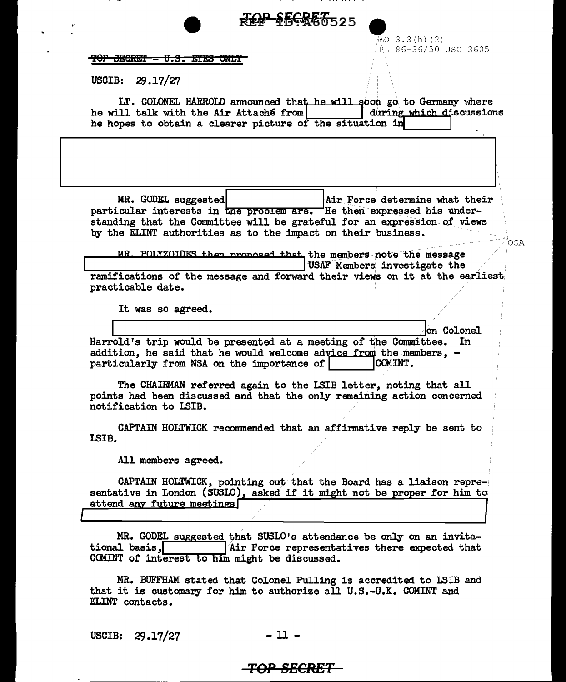|                                                                                                                                                                                                                                                                                                                                                               | <b>\$66860525</b>                                                                               |
|---------------------------------------------------------------------------------------------------------------------------------------------------------------------------------------------------------------------------------------------------------------------------------------------------------------------------------------------------------------|-------------------------------------------------------------------------------------------------|
| <del>TOP SECRET = U.S. ETES ONLY</del><br>29.17/27<br><b>USCIB:</b>                                                                                                                                                                                                                                                                                           | 钲O 3.3(h)(2)<br>PL 86-36/50 USC 3605                                                            |
| he will talk with the Air Attaché from<br>he hopes to obtain a clearer picture of the situation in                                                                                                                                                                                                                                                            | LT. COLONEL HARROLD announced that he will soon go to Germany where<br>during which discussions |
|                                                                                                                                                                                                                                                                                                                                                               |                                                                                                 |
| MR. GODEL suggested<br>particular interests in the problem are. He then expressed his under-<br>standing that the Committee will be grateful for an expression of views<br>by the ELINT authorities as to the impact on their business.                                                                                                                       | Air Force determine what their<br>OGA                                                           |
| MR. POLYZOTDES then proposed that the members note the message                                                                                                                                                                                                                                                                                                | USAF Members investigate the                                                                    |
| ramifications of the message and forward their views on it at the earliest<br>practicable date.                                                                                                                                                                                                                                                               |                                                                                                 |
| It was so agreed.                                                                                                                                                                                                                                                                                                                                             |                                                                                                 |
| Harrold's trip would be presented at a meeting of the Committee. In<br>addition, he said that he would welcome advice from the members, -<br>particularly from NSA on the importance of<br>The CHAIRMAN referred again to the LSIB letter, noting that all<br>points had been discussed and that the only remaining action concerned<br>notification to LSIB. | on Colonel<br>COMINT.                                                                           |
| CAPTAIN HOLTWICK recommended that an affirmative reply be sent to<br>LSIB.                                                                                                                                                                                                                                                                                    |                                                                                                 |
| All members agreed.<br>sentative in London (SUSLO), asked if it might not be proper for him to<br>attend any future meetings                                                                                                                                                                                                                                  | CAPTAIN HOLTWICK, pointing out that the Board has a liaison repre-                              |
| MR. GODEL suggested that SUSLO's attendance be only on an invita-<br>tional basis,<br>COMINT of interest to him might be discussed.                                                                                                                                                                                                                           | Air Force representatives there expected that                                                   |
| MR. BUFFHAM stated that Colonel Pulling is accredited to ISIB and<br>that it is customary for him to authorize all U.S.-U.K. COMINT and<br>ELINT contacts.                                                                                                                                                                                                    |                                                                                                 |

USCIB: 29.17/27  $-$  11  $\,$ 

 $\ddot{\phantom{0}}$ 

 $\ddot{\phantom{a}}$